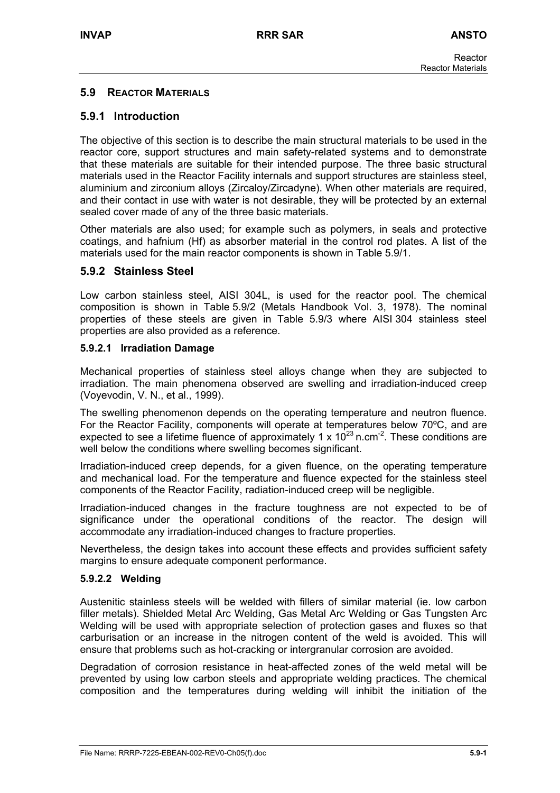## **5.9 REACTOR MATERIALS**

## **5.9.1 Introduction**

The objective of this section is to describe the main structural materials to be used in the reactor core, support structures and main safety-related systems and to demonstrate that these materials are suitable for their intended purpose. The three basic structural materials used in the Reactor Facility internals and support structures are stainless steel, aluminium and zirconium alloys (Zircaloy/Zircadyne). When other materials are required, and their contact in use with water is not desirable, they will be protected by an external sealed cover made of any of the three basic materials.

Other materials are also used; for example such as polymers, in seals and protective coatings, and hafnium (Hf) as absorber material in the control rod plates. A list of the materials used for the main reactor components is shown in Table 5.9/1.

## **5.9.2 Stainless Steel**

Low carbon stainless steel, AISI 304L, is used for the reactor pool. The chemical composition is shown in Table 5.9/2 (Metals Handbook Vol. 3, 1978). The nominal properties of these steels are given in Table 5.9/3 where AISI 304 stainless steel properties are also provided as a reference.

#### **5.9.2.1 Irradiation Damage**

Mechanical properties of stainless steel alloys change when they are subjected to irradiation. The main phenomena observed are swelling and irradiation-induced creep (Voyevodin, V. N., et al., 1999).

The swelling phenomenon depends on the operating temperature and neutron fluence. For the Reactor Facility, components will operate at temperatures below 70ºC, and are expected to see a lifetime fluence of approximately 1 x  $10^{23}$  n.cm<sup>-2</sup>. These conditions are well below the conditions where swelling becomes significant.

Irradiation-induced creep depends, for a given fluence, on the operating temperature and mechanical load. For the temperature and fluence expected for the stainless steel components of the Reactor Facility, radiation-induced creep will be negligible.

Irradiation-induced changes in the fracture toughness are not expected to be of significance under the operational conditions of the reactor. The design will accommodate any irradiation-induced changes to fracture properties.

Nevertheless, the design takes into account these effects and provides sufficient safety margins to ensure adequate component performance.

#### **5.9.2.2 Welding**

Austenitic stainless steels will be welded with fillers of similar material (ie. low carbon filler metals). Shielded Metal Arc Welding, Gas Metal Arc Welding or Gas Tungsten Arc Welding will be used with appropriate selection of protection gases and fluxes so that carburisation or an increase in the nitrogen content of the weld is avoided. This will ensure that problems such as hot-cracking or intergranular corrosion are avoided.

Degradation of corrosion resistance in heat-affected zones of the weld metal will be prevented by using low carbon steels and appropriate welding practices. The chemical composition and the temperatures during welding will inhibit the initiation of the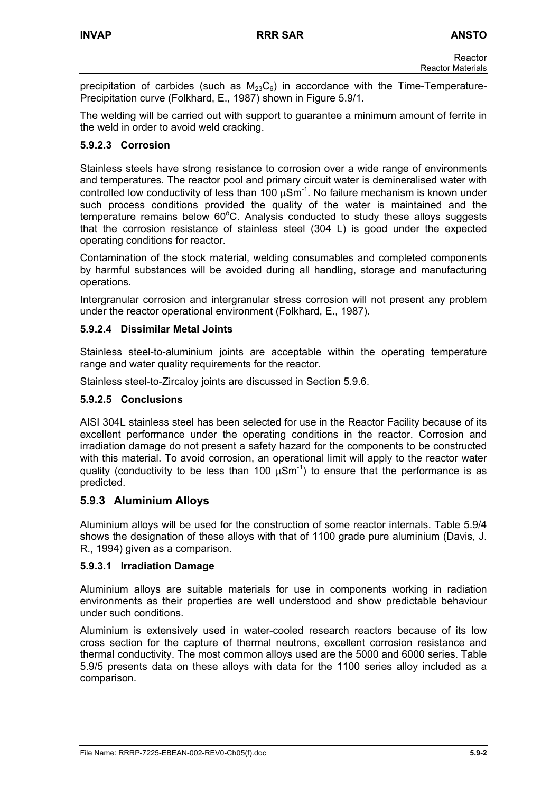precipitation of carbides (such as  $M_{23}C_6$ ) in accordance with the Time-Temperature-Precipitation curve (Folkhard, E., 1987) shown in Figure 5.9/1.

The welding will be carried out with support to guarantee a minimum amount of ferrite in the weld in order to avoid weld cracking.

# **5.9.2.3 Corrosion**

Stainless steels have strong resistance to corrosion over a wide range of environments and temperatures. The reactor pool and primary circuit water is demineralised water with controlled low conductivity of less than 100  $\mu$ Sm<sup>-1</sup>. No failure mechanism is known under such process conditions provided the quality of the water is maintained and the  $t$ emperature remains below  $60^{\circ}$ C. Analysis conducted to study these alloys suggests that the corrosion resistance of stainless steel (304 L) is good under the expected operating conditions for reactor.

Contamination of the stock material, welding consumables and completed components by harmful substances will be avoided during all handling, storage and manufacturing operations.

Intergranular corrosion and intergranular stress corrosion will not present any problem under the reactor operational environment (Folkhard, E., 1987).

#### **5.9.2.4 Dissimilar Metal Joints**

Stainless steel-to-aluminium joints are acceptable within the operating temperature range and water quality requirements for the reactor.

Stainless steel-to-Zircaloy joints are discussed in Section 5.9.6.

#### **5.9.2.5 Conclusions**

AISI 304L stainless steel has been selected for use in the Reactor Facility because of its excellent performance under the operating conditions in the reactor. Corrosion and irradiation damage do not present a safety hazard for the components to be constructed with this material. To avoid corrosion, an operational limit will apply to the reactor water quality (conductivity to be less than 100  $\mu$ Sm<sup>-1</sup>) to ensure that the performance is as predicted.

# **5.9.3 Aluminium Alloys**

Aluminium alloys will be used for the construction of some reactor internals. Table 5.9/4 shows the designation of these alloys with that of 1100 grade pure aluminium (Davis, J. R., 1994) given as a comparison.

#### **5.9.3.1 Irradiation Damage**

Aluminium alloys are suitable materials for use in components working in radiation environments as their properties are well understood and show predictable behaviour under such conditions.

Aluminium is extensively used in water-cooled research reactors because of its low cross section for the capture of thermal neutrons, excellent corrosion resistance and thermal conductivity. The most common alloys used are the 5000 and 6000 series. Table 5.9/5 presents data on these alloys with data for the 1100 series alloy included as a comparison.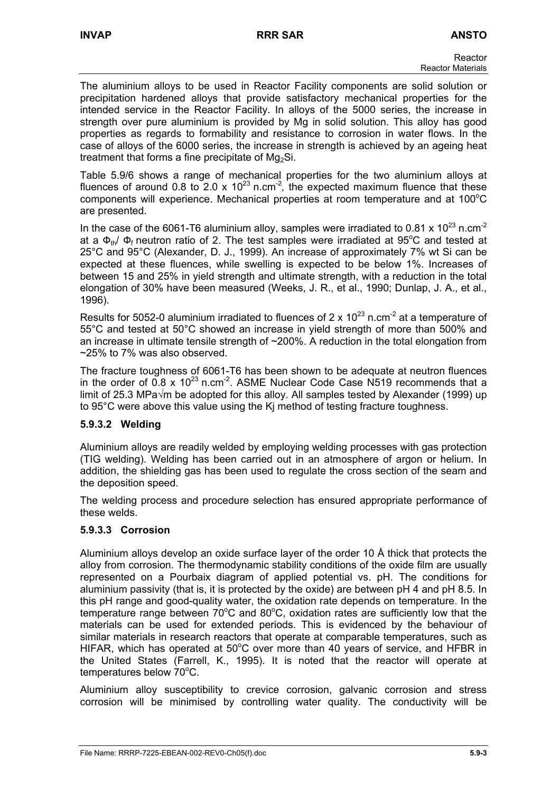The aluminium alloys to be used in Reactor Facility components are solid solution or precipitation hardened alloys that provide satisfactory mechanical properties for the intended service in the Reactor Facility. In alloys of the 5000 series, the increase in strength over pure aluminium is provided by Mg in solid solution. This alloy has good properties as regards to formability and resistance to corrosion in water flows. In the case of alloys of the 6000 series, the increase in strength is achieved by an ageing heat treatment that forms a fine precipitate of  $Mg_2Si$ .

Table 5.9/6 shows a range of mechanical properties for the two aluminium alloys at fluences of around 0.8 to 2.0 x  $10^{23}$  n.cm<sup>-2</sup>, the expected maximum fluence that these components will experience. Mechanical properties at room temperature and at  $100^{\circ}$ C are presented.

In the case of the 6061-T6 aluminium alloy, samples were irradiated to 0.81 x  $10^{23}$  n.cm<sup>-2</sup> at a  $\Phi_{\text{th}}$ /  $\Phi_{\text{f}}$  neutron ratio of 2. The test samples were irradiated at 95°C and tested at 25°C and 95°C (Alexander, D. J., 1999). An increase of approximately 7% wt Si can be expected at these fluences, while swelling is expected to be below 1%. Increases of between 15 and 25% in yield strength and ultimate strength, with a reduction in the total elongation of 30% have been measured (Weeks, J. R., et al., 1990; Dunlap, J. A., et al., 1996).

Results for 5052-0 aluminium irradiated to fluences of 2 x  $10^{23}$  n.cm<sup>-2</sup> at a temperature of 55°C and tested at 50°C showed an increase in yield strength of more than 500% and an increase in ultimate tensile strength of ~200%. A reduction in the total elongation from ~25% to 7% was also observed.

The fracture toughness of 6061-T6 has been shown to be adequate at neutron fluences in the order of  $0.8 \times 10^{23}$  n.cm<sup>-2</sup>. ASME Nuclear Code Case N519 recommends that a limit of 25.3 MPa√m be adopted for this alloy. All samples tested by Alexander (1999) up to 95°C were above this value using the Kj method of testing fracture toughness.

# **5.9.3.2 Welding**

Aluminium alloys are readily welded by employing welding processes with gas protection (TIG welding). Welding has been carried out in an atmosphere of argon or helium. In addition, the shielding gas has been used to regulate the cross section of the seam and the deposition speed.

The welding process and procedure selection has ensured appropriate performance of these welds.

# **5.9.3.3 Corrosion**

Aluminium alloys develop an oxide surface layer of the order 10 Å thick that protects the alloy from corrosion. The thermodynamic stability conditions of the oxide film are usually represented on a Pourbaix diagram of applied potential vs. pH. The conditions for aluminium passivity (that is, it is protected by the oxide) are between pH 4 and pH 8.5. In this pH range and good-quality water, the oxidation rate depends on temperature. In the temperature range between  $70^{\circ}$ C and  $80^{\circ}$ C, oxidation rates are sufficiently low that the materials can be used for extended periods. This is evidenced by the behaviour of similar materials in research reactors that operate at comparable temperatures, such as HIFAR, which has operated at  $50^{\circ}$ C over more than 40 years of service, and HFBR in the United States (Farrell, K., 1995). It is noted that the reactor will operate at  $temperatures$  below  $70^{\circ}$ C.

Aluminium alloy susceptibility to crevice corrosion, galvanic corrosion and stress corrosion will be minimised by controlling water quality. The conductivity will be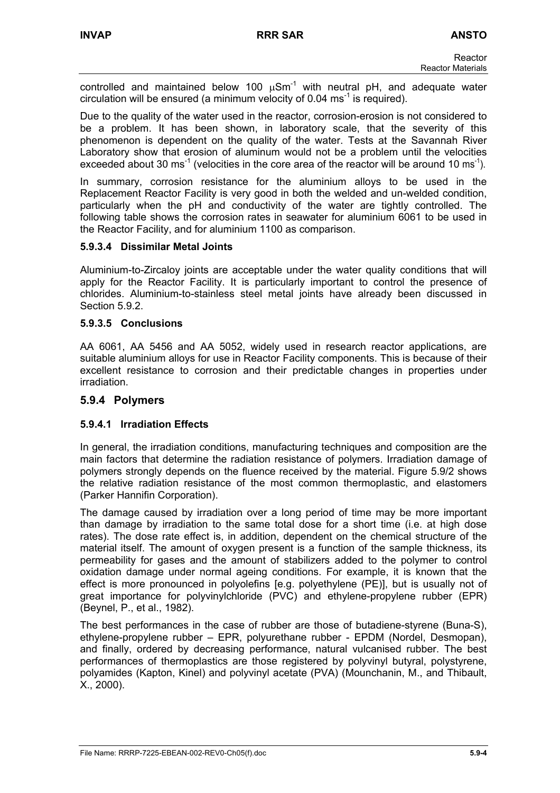controlled and maintained below 100  $\mu$ Sm<sup>-1</sup> with neutral pH, and adequate water circulation will be ensured (a minimum velocity of  $0.04 \text{ ms}^{-1}$  is required).

Due to the quality of the water used in the reactor, corrosion-erosion is not considered to be a problem. It has been shown, in laboratory scale, that the severity of this phenomenon is dependent on the quality of the water. Tests at the Savannah River Laboratory show that erosion of aluminum would not be a problem until the velocities exceeded about 30 ms<sup>-1</sup> (velocities in the core area of the reactor will be around 10 ms<sup>-1</sup>).

In summary, corrosion resistance for the aluminium alloys to be used in the Replacement Reactor Facility is very good in both the welded and un-welded condition, particularly when the pH and conductivity of the water are tightly controlled. The following table shows the corrosion rates in seawater for aluminium 6061 to be used in the Reactor Facility, and for aluminium 1100 as comparison.

# **5.9.3.4 Dissimilar Metal Joints**

Aluminium-to-Zircaloy joints are acceptable under the water quality conditions that will apply for the Reactor Facility. It is particularly important to control the presence of chlorides. Aluminium-to-stainless steel metal joints have already been discussed in Section 5.9.2.

## **5.9.3.5 Conclusions**

AA 6061, AA 5456 and AA 5052, widely used in research reactor applications, are suitable aluminium alloys for use in Reactor Facility components. This is because of their excellent resistance to corrosion and their predictable changes in properties under irradiation.

# **5.9.4 Polymers**

#### **5.9.4.1 Irradiation Effects**

In general, the irradiation conditions, manufacturing techniques and composition are the main factors that determine the radiation resistance of polymers. Irradiation damage of polymers strongly depends on the fluence received by the material. Figure 5.9/2 shows the relative radiation resistance of the most common thermoplastic, and elastomers (Parker Hannifin Corporation).

The damage caused by irradiation over a long period of time may be more important than damage by irradiation to the same total dose for a short time (i.e. at high dose rates). The dose rate effect is, in addition, dependent on the chemical structure of the material itself. The amount of oxygen present is a function of the sample thickness, its permeability for gases and the amount of stabilizers added to the polymer to control oxidation damage under normal ageing conditions. For example, it is known that the effect is more pronounced in polyolefins [e.g. polyethylene (PE)], but is usually not of great importance for polyvinylchloride (PVC) and ethylene-propylene rubber (EPR) (Beynel, P., et al., 1982).

The best performances in the case of rubber are those of butadiene-styrene (Buna-S), ethylene-propylene rubber – EPR, polyurethane rubber - EPDM (Nordel, Desmopan), and finally, ordered by decreasing performance, natural vulcanised rubber. The best performances of thermoplastics are those registered by polyvinyl butyral, polystyrene, polyamides (Kapton, Kinel) and polyvinyl acetate (PVA) (Mounchanin, M., and Thibault, X., 2000).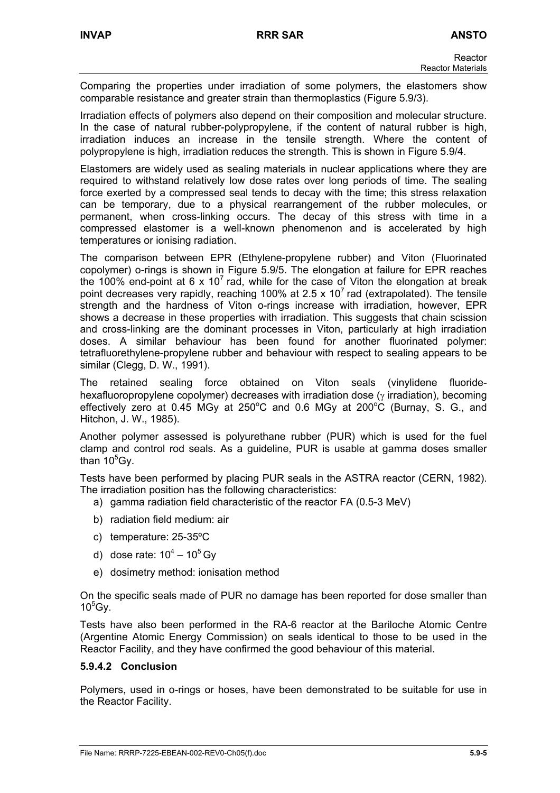Comparing the properties under irradiation of some polymers, the elastomers show comparable resistance and greater strain than thermoplastics (Figure 5.9/3).

Irradiation effects of polymers also depend on their composition and molecular structure. In the case of natural rubber-polypropylene, if the content of natural rubber is high, irradiation induces an increase in the tensile strength. Where the content of polypropylene is high, irradiation reduces the strength. This is shown in Figure 5.9/4.

Elastomers are widely used as sealing materials in nuclear applications where they are required to withstand relatively low dose rates over long periods of time. The sealing force exerted by a compressed seal tends to decay with the time; this stress relaxation can be temporary, due to a physical rearrangement of the rubber molecules, or permanent, when cross-linking occurs. The decay of this stress with time in a compressed elastomer is a well-known phenomenon and is accelerated by high temperatures or ionising radiation.

The comparison between EPR (Ethylene-propylene rubber) and Viton (Fluorinated copolymer) o-rings is shown in Figure 5.9/5. The elongation at failure for EPR reaches the 100% end-point at 6 x 10<sup>7</sup> rad, while for the case of Viton the elongation at break point decreases very rapidly, reaching 100% at 2.5 x 10<sup>7</sup> rad (extrapolated). The tensile strength and the hardness of Viton o-rings increase with irradiation, however, EPR shows a decrease in these properties with irradiation. This suggests that chain scission and cross-linking are the dominant processes in Viton, particularly at high irradiation doses. A similar behaviour has been found for another fluorinated polymer: tetrafluorethylene-propylene rubber and behaviour with respect to sealing appears to be similar (Clegg, D. W., 1991).

The retained sealing force obtained on Viton seals (vinylidene fluoridehexafluoropropylene copolymer) decreases with irradiation dose (γ irradiation), becoming effectively zero at 0.45 MGy at 250°C and 0.6 MGy at 200°C (Burnay, S. G., and Hitchon, J. W., 1985).

Another polymer assessed is polyurethane rubber (PUR) which is used for the fuel clamp and control rod seals. As a guideline, PUR is usable at gamma doses smaller than  $10^5$ Gy.

Tests have been performed by placing PUR seals in the ASTRA reactor (CERN, 1982). The irradiation position has the following characteristics:

- a) gamma radiation field characteristic of the reactor FA (0.5-3 MeV)
- b) radiation field medium: air
- c) temperature: 25-35ºC
- d) dose rate:  $10^4 10^5$  Gy
- e) dosimetry method: ionisation method

On the specific seals made of PUR no damage has been reported for dose smaller than  $10^5$ Gy.

Tests have also been performed in the RA-6 reactor at the Bariloche Atomic Centre (Argentine Atomic Energy Commission) on seals identical to those to be used in the Reactor Facility, and they have confirmed the good behaviour of this material.

#### **5.9.4.2 Conclusion**

Polymers, used in o-rings or hoses, have been demonstrated to be suitable for use in the Reactor Facility.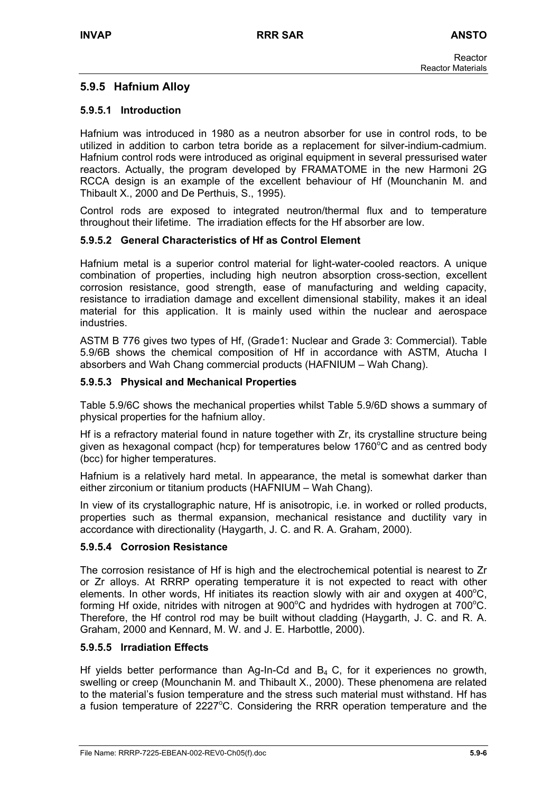# **5.9.5 Hafnium Alloy**

## **5.9.5.1 Introduction**

Hafnium was introduced in 1980 as a neutron absorber for use in control rods, to be utilized in addition to carbon tetra boride as a replacement for silver-indium-cadmium. Hafnium control rods were introduced as original equipment in several pressurised water reactors. Actually, the program developed by FRAMATOME in the new Harmoni 2G RCCA design is an example of the excellent behaviour of Hf (Mounchanin M. and Thibault X., 2000 and De Perthuis, S., 1995).

Control rods are exposed to integrated neutron/thermal flux and to temperature throughout their lifetime. The irradiation effects for the Hf absorber are low.

## **5.9.5.2 General Characteristics of Hf as Control Element**

Hafnium metal is a superior control material for light-water-cooled reactors. A unique combination of properties, including high neutron absorption cross-section, excellent corrosion resistance, good strength, ease of manufacturing and welding capacity, resistance to irradiation damage and excellent dimensional stability, makes it an ideal material for this application. It is mainly used within the nuclear and aerospace industries.

ASTM B 776 gives two types of Hf, (Grade1: Nuclear and Grade 3: Commercial). Table 5.9/6B shows the chemical composition of Hf in accordance with ASTM, Atucha I absorbers and Wah Chang commercial products (HAFNIUM – Wah Chang).

## **5.9.5.3 Physical and Mechanical Properties**

Table 5.9/6C shows the mechanical properties whilst Table 5.9/6D shows a summary of physical properties for the hafnium alloy.

Hf is a refractory material found in nature together with Zr, its crystalline structure being given as hexagonal compact (hcp) for temperatures below 1760 $^{\circ}$ C and as centred body (bcc) for higher temperatures.

Hafnium is a relatively hard metal. In appearance, the metal is somewhat darker than either zirconium or titanium products (HAFNIUM – Wah Chang).

In view of its crystallographic nature, Hf is anisotropic, i.e. in worked or rolled products, properties such as thermal expansion, mechanical resistance and ductility vary in accordance with directionality (Haygarth, J. C. and R. A. Graham, 2000).

#### **5.9.5.4 Corrosion Resistance**

The corrosion resistance of Hf is high and the electrochemical potential is nearest to Zr or Zr alloys. At RRRP operating temperature it is not expected to react with other elements. In other words, Hf initiates its reaction slowly with air and oxygen at 400 $^{\circ}$ C, forming Hf oxide, nitrides with nitrogen at 900 $^{\circ}$ C and hydrides with hydrogen at 700 $^{\circ}$ C. Therefore, the Hf control rod may be built without cladding (Haygarth, J. C. and R. A. Graham, 2000 and Kennard, M. W. and J. E. Harbottle, 2000).

#### **5.9.5.5 Irradiation Effects**

Hf yields better performance than Ag-In-Cd and  $B_4$  C, for it experiences no growth, swelling or creep (Mounchanin M. and Thibault X., 2000). These phenomena are related to the material's fusion temperature and the stress such material must withstand. Hf has a fusion temperature of  $2227^{\circ}$ C. Considering the RRR operation temperature and the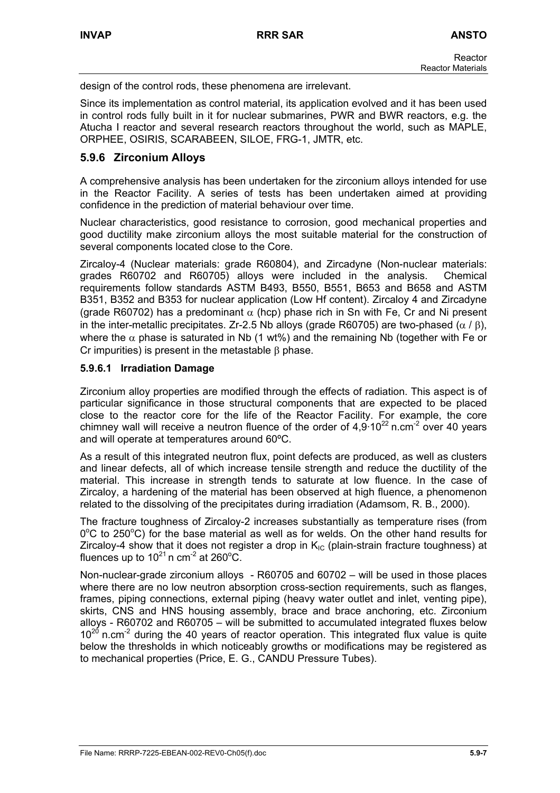design of the control rods, these phenomena are irrelevant.

Since its implementation as control material, its application evolved and it has been used in control rods fully built in it for nuclear submarines, PWR and BWR reactors, e.g. the Atucha I reactor and several research reactors throughout the world, such as MAPLE, ORPHEE, OSIRIS, SCARABEEN, SILOE, FRG-1, JMTR, etc.

# **5.9.6 Zirconium Alloys**

A comprehensive analysis has been undertaken for the zirconium alloys intended for use in the Reactor Facility. A series of tests has been undertaken aimed at providing confidence in the prediction of material behaviour over time.

Nuclear characteristics, good resistance to corrosion, good mechanical properties and good ductility make zirconium alloys the most suitable material for the construction of several components located close to the Core.

Zircaloy-4 (Nuclear materials: grade R60804), and Zircadyne (Non-nuclear materials: grades R60702 and R60705) alloys were included in the analysis. Chemical requirements follow standards ASTM B493, B550, B551, B653 and B658 and ASTM B351, B352 and B353 for nuclear application (Low Hf content). Zircaloy 4 and Zircadyne (grade R60702) has a predominant  $\alpha$  (hcp) phase rich in Sn with Fe, Cr and Ni present in the inter-metallic precipitates. Zr-2.5 Nb alloys (grade R60705) are two-phased ( $\alpha$  /  $\beta$ ), where the  $\alpha$  phase is saturated in Nb (1 wt%) and the remaining Nb (together with Fe or Cr impurities) is present in the metastable β phase.

## **5.9.6.1 Irradiation Damage**

Zirconium alloy properties are modified through the effects of radiation. This aspect is of particular significance in those structural components that are expected to be placed close to the reactor core for the life of the Reactor Facility. For example, the core chimney wall will receive a neutron fluence of the order of  $4.9 \cdot 10^{22}$  n.cm<sup>-2</sup> over 40 years and will operate at temperatures around 60ºC.

As a result of this integrated neutron flux, point defects are produced, as well as clusters and linear defects, all of which increase tensile strength and reduce the ductility of the material. This increase in strength tends to saturate at low fluence. In the case of Zircaloy, a hardening of the material has been observed at high fluence, a phenomenon related to the dissolving of the precipitates during irradiation (Adamsom, R. B., 2000).

The fracture toughness of Zircaloy-2 increases substantially as temperature rises (from  $0^{\circ}$ C to 250 $^{\circ}$ C) for the base material as well as for welds. On the other hand results for Zircaloy-4 show that it does not register a drop in  $K_{IC}$  (plain-strain fracture toughness) at fluences up to 10 $21$ n cm<sup>-2</sup> at 260 $^{\circ}$ C.

Non-nuclear-grade zirconium alloys - R60705 and 60702 – will be used in those places where there are no low neutron absorption cross-section requirements, such as flanges, frames, piping connections, external piping (heavy water outlet and inlet, venting pipe), skirts, CNS and HNS housing assembly, brace and brace anchoring, etc. Zirconium alloys - R60702 and R60705 – will be submitted to accumulated integrated fluxes below  $10^{20}$  n.cm<sup>-2</sup> during the 40 years of reactor operation. This integrated flux value is quite below the thresholds in which noticeably growths or modifications may be registered as to mechanical properties (Price, E. G., CANDU Pressure Tubes).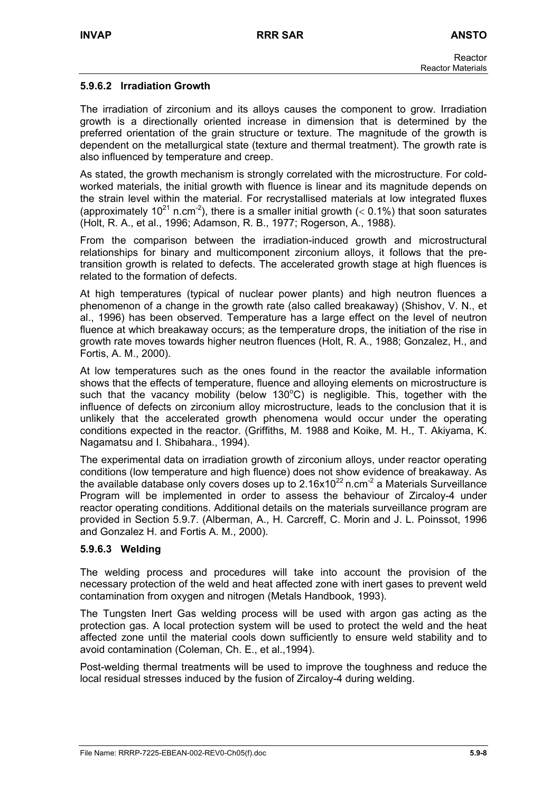## **5.9.6.2 Irradiation Growth**

The irradiation of zirconium and its alloys causes the component to grow. Irradiation growth is a directionally oriented increase in dimension that is determined by the preferred orientation of the grain structure or texture. The magnitude of the growth is dependent on the metallurgical state (texture and thermal treatment). The growth rate is also influenced by temperature and creep.

As stated, the growth mechanism is strongly correlated with the microstructure. For coldworked materials, the initial growth with fluence is linear and its magnitude depends on the strain level within the material. For recrystallised materials at low integrated fluxes (approximately 10<sup>21</sup> n.cm<sup>-2</sup>), there is a smaller initial growth ( $<$  0.1%) that soon saturates (Holt, R. A., et al., 1996; Adamson, R. B., 1977; Rogerson, A., 1988).

From the comparison between the irradiation-induced growth and microstructural relationships for binary and multicomponent zirconium alloys, it follows that the pretransition growth is related to defects. The accelerated growth stage at high fluences is related to the formation of defects.

At high temperatures (typical of nuclear power plants) and high neutron fluences a phenomenon of a change in the growth rate (also called breakaway) (Shishov, V. N., et al., 1996) has been observed. Temperature has a large effect on the level of neutron fluence at which breakaway occurs; as the temperature drops, the initiation of the rise in growth rate moves towards higher neutron fluences (Holt, R. A., 1988; Gonzalez, H., and Fortis, A. M., 2000).

At low temperatures such as the ones found in the reactor the available information shows that the effects of temperature, fluence and alloying elements on microstructure is such that the vacancy mobility (below 130 $^{\circ}$ C) is negligible. This, together with the influence of defects on zirconium alloy microstructure, leads to the conclusion that it is unlikely that the accelerated growth phenomena would occur under the operating conditions expected in the reactor. (Griffiths, M. 1988 and Koike, M. H., T. Akiyama, K. Nagamatsu and I. Shibahara., 1994).

The experimental data on irradiation growth of zirconium alloys, under reactor operating conditions (low temperature and high fluence) does not show evidence of breakaway. As the available database only covers doses up to 2.16x10<sup>22</sup> n.cm<sup>-2</sup> a Materials Surveillance Program will be implemented in order to assess the behaviour of Zircaloy-4 under reactor operating conditions. Additional details on the materials surveillance program are provided in Section 5.9.7. (Alberman, A., H. Carcreff, C. Morin and J. L. Poinssot, 1996 and Gonzalez H. and Fortis A. M., 2000).

#### **5.9.6.3 Welding**

The welding process and procedures will take into account the provision of the necessary protection of the weld and heat affected zone with inert gases to prevent weld contamination from oxygen and nitrogen (Metals Handbook, 1993).

The Tungsten Inert Gas welding process will be used with argon gas acting as the protection gas. A local protection system will be used to protect the weld and the heat affected zone until the material cools down sufficiently to ensure weld stability and to avoid contamination (Coleman, Ch. E., et al.,1994).

Post-welding thermal treatments will be used to improve the toughness and reduce the local residual stresses induced by the fusion of Zircaloy-4 during welding.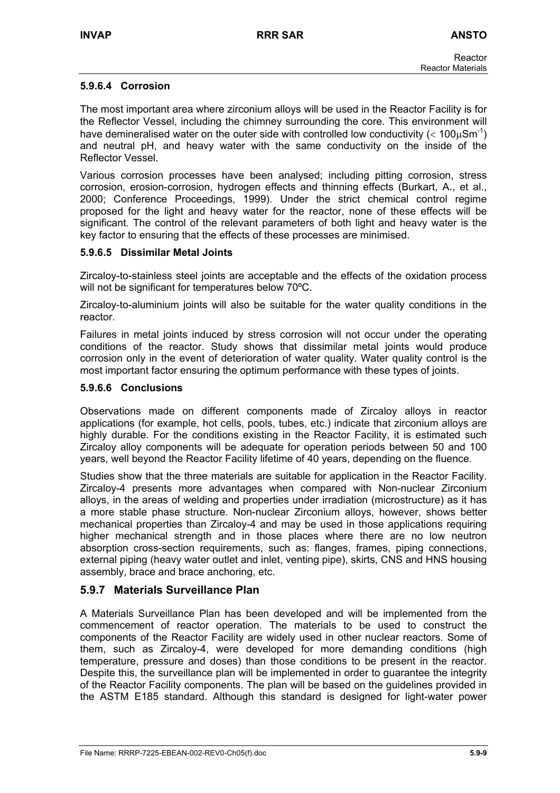## **5.9.6.4 Corrosion**

The most important area where zirconium alloys will be used in the Reactor Facility is for the Reflector Vessel, including the chimney surrounding the core. This environment will have demineralised water on the outer side with controlled low conductivity ( $< 100 \mu S m^{-1}$ ) and neutral pH, and heavy water with the same conductivity on the inside of the Reflector Vessel.

Various corrosion processes have been analysed; including pitting corrosion, stress corrosion, erosion-corrosion, hydrogen effects and thinning effects (Burkart, A., et al., 2000; Conference Proceedings, 1999). Under the strict chemical control regime proposed for the light and heavy water for the reactor, none of these effects will be significant. The control of the relevant parameters of both light and heavy water is the key factor to ensuring that the effects of these processes are minimised.

#### **5.9.6.5 Dissimilar Metal Joints**

Zircaloy-to-stainless steel joints are acceptable and the effects of the oxidation process will not be significant for temperatures below 70°C.

Zircaloy-to-aluminium joints will also be suitable for the water quality conditions in the reactor.

Failures in metal joints induced by stress corrosion will not occur under the operating conditions of the reactor. Study shows that dissimilar metal joints would produce corrosion only in the event of deterioration of water quality. Water quality control is the most important factor ensuring the optimum performance with these types of joints.

#### **5.9.6.6 Conclusions**

Observations made on different components made of Zircaloy alloys in reactor applications (for example, hot cells, pools, tubes, etc.) indicate that zirconium alloys are highly durable. For the conditions existing in the Reactor Facility, it is estimated such Zircaloy alloy components will be adequate for operation periods between 50 and 100 years, well beyond the Reactor Facility lifetime of 40 years, depending on the fluence.

Studies show that the three materials are suitable for application in the Reactor Facility. Zircaloy-4 presents more advantages when compared with Non-nuclear Zirconium alloys, in the areas of welding and properties under irradiation (microstructure) as it has a more stable phase structure. Non-nuclear Zirconium alloys, however, shows better mechanical properties than Zircaloy-4 and may be used in those applications requiring higher mechanical strength and in those places where there are no low neutron absorption cross-section requirements, such as: flanges, frames, piping connections, external piping (heavy water outlet and inlet, venting pipe), skirts, CNS and HNS housing assembly, brace and brace anchoring, etc.

# **5.9.7 Materials Surveillance Plan**

A Materials Surveillance Plan has been developed and will be implemented from the commencement of reactor operation. The materials to be used to construct the components of the Reactor Facility are widely used in other nuclear reactors. Some of them, such as Zircaloy-4, were developed for more demanding conditions (high temperature, pressure and doses) than those conditions to be present in the reactor. Despite this, the surveillance plan will be implemented in order to guarantee the integrity of the Reactor Facility components. The plan will be based on the guidelines provided in the ASTM E185 standard. Although this standard is designed for light-water power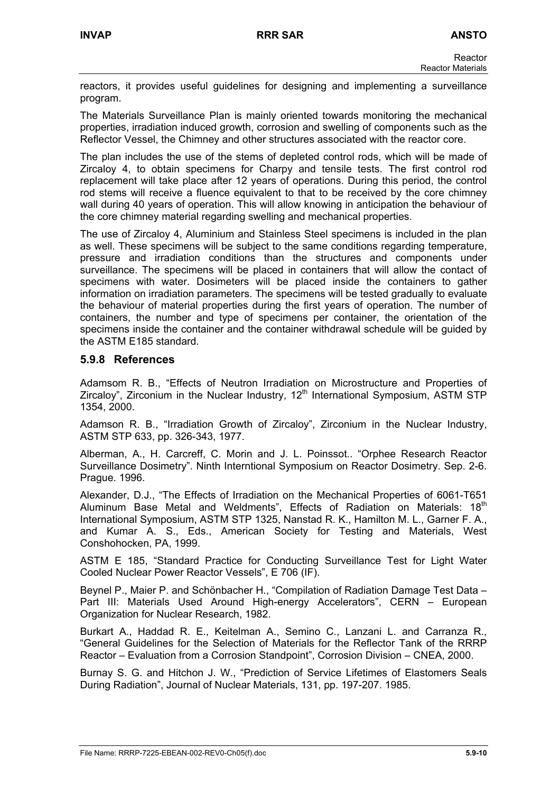reactors, it provides useful guidelines for designing and implementing a surveillance program.

The Materials Surveillance Plan is mainly oriented towards monitoring the mechanical properties, irradiation induced growth, corrosion and swelling of components such as the Reflector Vessel, the Chimney and other structures associated with the reactor core.

The plan includes the use of the stems of depleted control rods, which will be made of Zircaloy 4, to obtain specimens for Charpy and tensile tests. The first control rod replacement will take place after 12 years of operations. During this period, the control rod stems will receive a fluence equivalent to that to be received by the core chimney wall during 40 years of operation. This will allow knowing in anticipation the behaviour of the core chimney material regarding swelling and mechanical properties.

The use of Zircaloy 4, Aluminium and Stainless Steel specimens is included in the plan as well. These specimens will be subject to the same conditions regarding temperature, pressure and irradiation conditions than the structures and components under surveillance. The specimens will be placed in containers that will allow the contact of specimens with water. Dosimeters will be placed inside the containers to gather information on irradiation parameters. The specimens will be tested gradually to evaluate the behaviour of material properties during the first years of operation. The number of containers, the number and type of specimens per container, the orientation of the specimens inside the container and the container withdrawal schedule will be guided by the ASTM E185 standard.

## **5.9.8 References**

Adamsom R. B., "Effects of Neutron Irradiation on Microstructure and Properties of Zircaloy", Zirconium in the Nuclear Industry,  $12<sup>th</sup>$  International Symposium, ASTM STP 1354, 2000.

Adamson R. B., "Irradiation Growth of Zircaloy", Zirconium in the Nuclear Industry, ASTM STP 633, pp. 326-343, 1977.

Alberman, A., H. Carcreff, C. Morin and J. L. Poinssot.. "Orphee Research Reactor Surveillance Dosimetry". Ninth Interntional Symposium on Reactor Dosimetry. Sep. 2-6. Prague. 1996.

Alexander, D.J., "The Effects of Irradiation on the Mechanical Properties of 6061-T651 Aluminum Base Metal and Weldments", Effects of Radiation on Materials: 18<sup>th</sup> International Symposium, ASTM STP 1325, Nanstad R. K., Hamilton M. L., Garner F. A., and Kumar A. S., Eds., American Society for Testing and Materials, West Conshohocken, PA, 1999.

ASTM E 185, "Standard Practice for Conducting Surveillance Test for Light Water Cooled Nuclear Power Reactor Vessels", E 706 (IF).

Beynel P., Maier P. and Schönbacher H., "Compilation of Radiation Damage Test Data – Part III: Materials Used Around High-energy Accelerators", CERN – European Organization for Nuclear Research, 1982.

Burkart A., Haddad R. E., Keitelman A., Semino C., Lanzani L. and Carranza R., "General Guidelines for the Selection of Materials for the Reflector Tank of the RRRP Reactor – Evaluation from a Corrosion Standpoint", Corrosion Division – CNEA, 2000.

Burnay S. G. and Hitchon J. W., "Prediction of Service Lifetimes of Elastomers Seals During Radiation", Journal of Nuclear Materials, 131, pp. 197-207. 1985.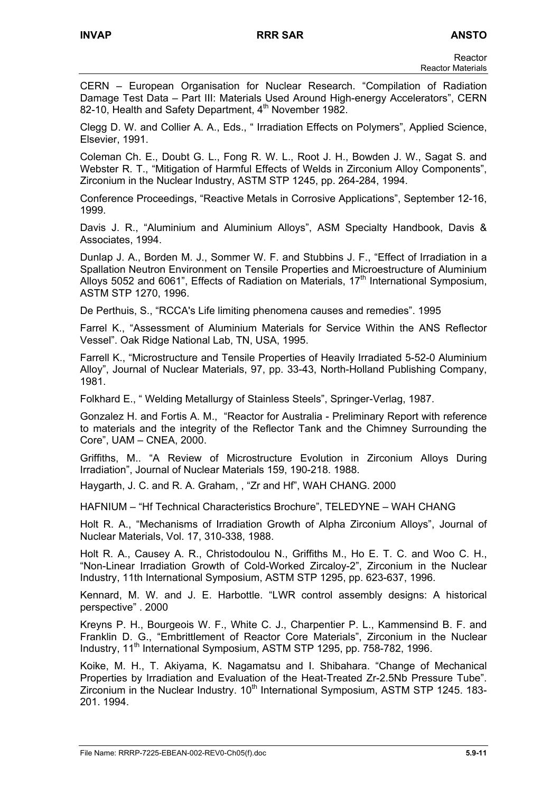CERN – European Organisation for Nuclear Research. "Compilation of Radiation Damage Test Data – Part III: Materials Used Around High-energy Accelerators", CERN 82-10, Health and Safety Department, 4<sup>th</sup> November 1982.

Clegg D. W. and Collier A. A., Eds., " Irradiation Effects on Polymers", Applied Science, Elsevier, 1991.

Coleman Ch. E., Doubt G. L., Fong R. W. L., Root J. H., Bowden J. W., Sagat S. and Webster R. T., "Mitigation of Harmful Effects of Welds in Zirconium Alloy Components", Zirconium in the Nuclear Industry, ASTM STP 1245, pp. 264-284, 1994.

Conference Proceedings, "Reactive Metals in Corrosive Applications", September 12-16, 1999.

Davis J. R., "Aluminium and Aluminium Alloys", ASM Specialty Handbook, Davis & Associates, 1994.

Dunlap J. A., Borden M. J., Sommer W. F. and Stubbins J. F., "Effect of Irradiation in a Spallation Neutron Environment on Tensile Properties and Microestructure of Aluminium Alloys 5052 and 6061", Effects of Radiation on Materials,  $17<sup>th</sup>$  International Symposium, ASTM STP 1270, 1996.

De Perthuis, S., "RCCA's Life limiting phenomena causes and remedies". 1995

Farrel K., "Assessment of Aluminium Materials for Service Within the ANS Reflector Vessel". Oak Ridge National Lab, TN, USA, 1995.

Farrell K., "Microstructure and Tensile Properties of Heavily Irradiated 5-52-0 Aluminium Alloy", Journal of Nuclear Materials, 97, pp. 33-43, North-Holland Publishing Company, 1981.

Folkhard E., " Welding Metallurgy of Stainless Steels", Springer-Verlag, 1987.

Gonzalez H. and Fortis A. M., "Reactor for Australia - Preliminary Report with reference to materials and the integrity of the Reflector Tank and the Chimney Surrounding the Core", UAM – CNEA, 2000.

Griffiths, M.. "A Review of Microstructure Evolution in Zirconium Alloys During Irradiation", Journal of Nuclear Materials 159, 190-218. 1988.

Haygarth, J. C. and R. A. Graham, , "Zr and Hf", WAH CHANG. 2000

HAFNIUM – "Hf Technical Characteristics Brochure", TELEDYNE – WAH CHANG

Holt R. A., "Mechanisms of Irradiation Growth of Alpha Zirconium Alloys", Journal of Nuclear Materials, Vol. 17, 310-338, 1988.

Holt R. A., Causey A. R., Christodoulou N., Griffiths M., Ho E. T. C. and Woo C. H., "Non-Linear Irradiation Growth of Cold-Worked Zircaloy-2", Zirconium in the Nuclear Industry, 11th International Symposium, ASTM STP 1295, pp. 623-637, 1996.

Kennard, M. W. and J. E. Harbottle. "LWR control assembly designs: A historical perspective" . 2000

Kreyns P. H., Bourgeois W. F., White C. J., Charpentier P. L., Kammensind B. F. and Franklin D. G., "Embrittlement of Reactor Core Materials", Zirconium in the Nuclear Industry, 11<sup>th</sup> International Symposium, ASTM STP 1295, pp. 758-782, 1996.

Koike, M. H., T. Akiyama, K. Nagamatsu and I. Shibahara. "Change of Mechanical Properties by Irradiation and Evaluation of the Heat-Treated Zr-2.5Nb Pressure Tube". Zirconium in the Nuclear Industry.  $10<sup>th</sup>$  International Symposium, ASTM STP 1245. 183-201. 1994.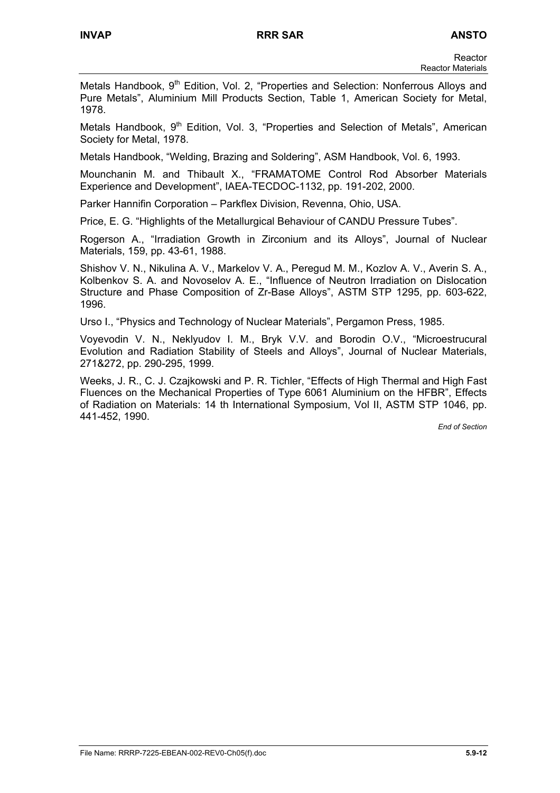Metals Handbook, 9<sup>th</sup> Edition, Vol. 2, "Properties and Selection: Nonferrous Alloys and Pure Metals", Aluminium Mill Products Section, Table 1, American Society for Metal, 1978.

Metals Handbook, 9<sup>th</sup> Edition, Vol. 3, "Properties and Selection of Metals", American Society for Metal, 1978.

Metals Handbook, "Welding, Brazing and Soldering", ASM Handbook, Vol. 6, 1993.

Mounchanin M. and Thibault X., "FRAMATOME Control Rod Absorber Materials Experience and Development", IAEA-TECDOC-1132, pp. 191-202, 2000.

Parker Hannifin Corporation – Parkflex Division, Revenna, Ohio, USA.

Price, E. G. "Highlights of the Metallurgical Behaviour of CANDU Pressure Tubes".

Rogerson A., "Irradiation Growth in Zirconium and its Alloys", Journal of Nuclear Materials, 159, pp. 43-61, 1988.

Shishov V. N., Nikulina A. V., Markelov V. A., Peregud M. M., Kozlov A. V., Averin S. A., Kolbenkov S. A. and Novoselov A. E., "Influence of Neutron Irradiation on Dislocation Structure and Phase Composition of Zr-Base Alloys", ASTM STP 1295, pp. 603-622, 1996.

Urso I., "Physics and Technology of Nuclear Materials", Pergamon Press, 1985.

Voyevodin V. N., Neklyudov I. M., Bryk V.V. and Borodin O.V., "Microestrucural Evolution and Radiation Stability of Steels and Alloys", Journal of Nuclear Materials, 271&272, pp. 290-295, 1999.

Weeks, J. R., C. J. Czajkowski and P. R. Tichler, "Effects of High Thermal and High Fast Fluences on the Mechanical Properties of Type 6061 Aluminium on the HFBR", Effects of Radiation on Materials: 14 th International Symposium, Vol II, ASTM STP 1046, pp. 441-452, 1990.

*End of Section*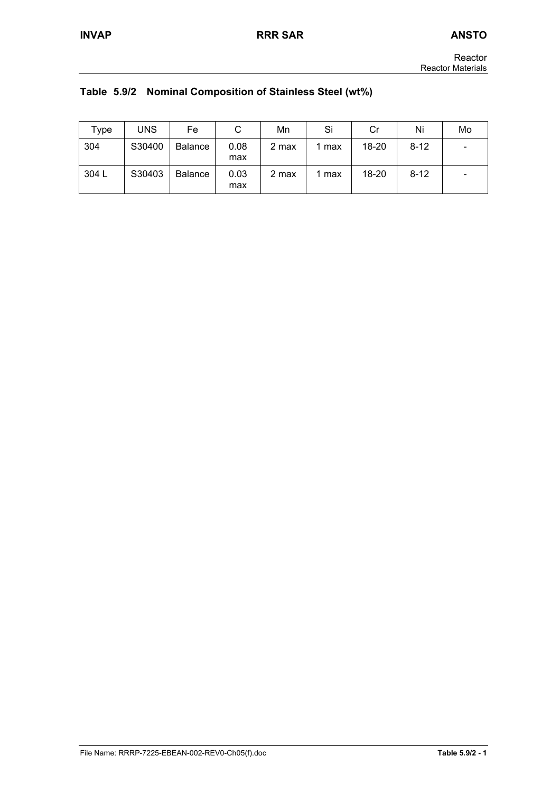|  |  | Table 5.9/2 Nominal Composition of Stainless Steel (wt%) |  |
|--|--|----------------------------------------------------------|--|
|--|--|----------------------------------------------------------|--|

| Type  | <b>UNS</b> | Fe             |             | Mn    | Si    | Cr        | Ni       | Mo |
|-------|------------|----------------|-------------|-------|-------|-----------|----------|----|
| 304   | S30400     | <b>Balance</b> | 0.08<br>max | 2 max | 1 max | 18-20     | $8 - 12$ | ٠  |
| 304 L | S30403     | <b>Balance</b> | 0.03<br>max | 2 max | 1 max | $18 - 20$ | $8 - 12$ | -  |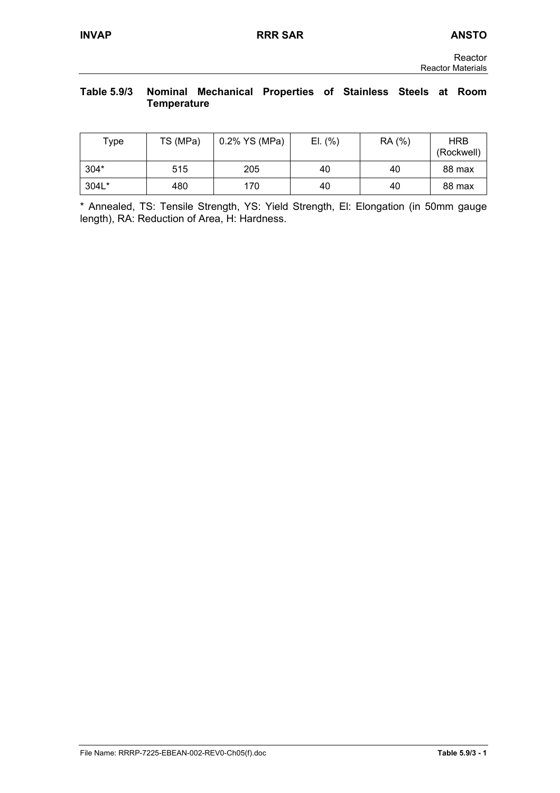## **Table 5.9/3 Nominal Mechanical Properties of Stainless Steels at Room Temperature**

| Type   | TS (MPa) | 0.2% YS (MPa) | EI. (%) | RA (%) | <b>HRB</b><br>(Rockwell) |
|--------|----------|---------------|---------|--------|--------------------------|
| $304*$ | 515      | 205           | 40      | 40     | 88 max                   |
| 304L*  | 480      | 170           | 40      | 40     | 88 max                   |

\* Annealed, TS: Tensile Strength, YS: Yield Strength, El: Elongation (in 50mm gauge length), RA: Reduction of Area, H: Hardness.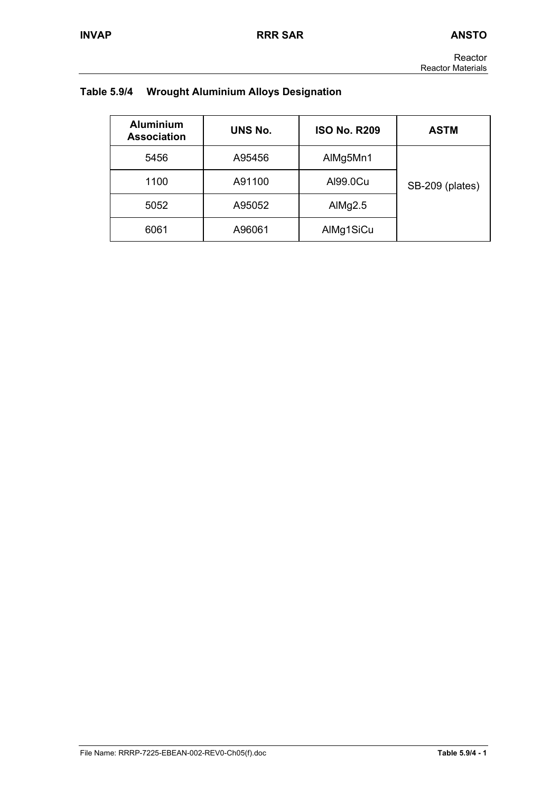Reactor Reactor Materials

# **Table 5.9/4 Wrought Aluminium Alloys Designation**

| <b>Aluminium</b><br><b>Association</b> | <b>UNS No.</b> | <b>ISO No. R209</b> | ASTM            |
|----------------------------------------|----------------|---------------------|-----------------|
| 5456                                   | A95456         | AlMg5Mn1            |                 |
| 1100                                   | A91100         | Al99.0Cu            | SB-209 (plates) |
| 5052                                   | A95052         | AlMg $2.5$          |                 |
| 6061                                   | A96061         | AlMg1SiCu           |                 |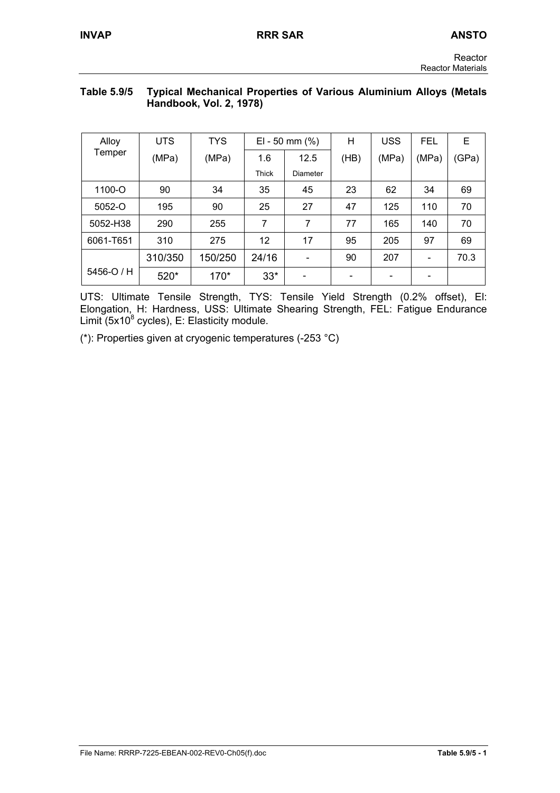# **Table 5.9/5 Typical Mechanical Properties of Various Aluminium Alloys (Metals Handbook, Vol. 2, 1978)**

| Alloy      | <b>UTS</b> | <b>TYS</b> |       | EI - 50 mm $(\%)$ | H    | <b>USS</b> | <b>FEL</b> | E     |
|------------|------------|------------|-------|-------------------|------|------------|------------|-------|
| Temper     | (MPa)      | (MPa)      | 1.6   | 12.5              | (HB) | (MPa)      | (MPa)      | (GPa) |
|            |            |            | Thick | Diameter          |      |            |            |       |
| 1100-O     | 90         | 34         | 35    | 45                | 23   | 62         | 34         | 69    |
| 5052-O     | 195        | 90         | 25    | 27                | 47   | 125        | 110        | 70    |
| 5052-H38   | 290        | 255        | 7     | 7                 | 77   | 165        | 140        | 70    |
| 6061-T651  | 310        | 275        | 12    | 17                | 95   | 205        | 97         | 69    |
|            | 310/350    | 150/250    | 24/16 |                   | 90   | 207        |            | 70.3  |
| 5456-O / H | 520*       | $170*$     | $33*$ |                   |      |            |            |       |

UTS: Ultimate Tensile Strength, TYS: Tensile Yield Strength (0.2% offset), El: Elongation, H: Hardness, USS: Ultimate Shearing Strength, FEL: Fatigue Endurance Limit (5x10 $^8$  cycles), E: Elasticity module.

(\*): Properties given at cryogenic temperatures (-253 °C)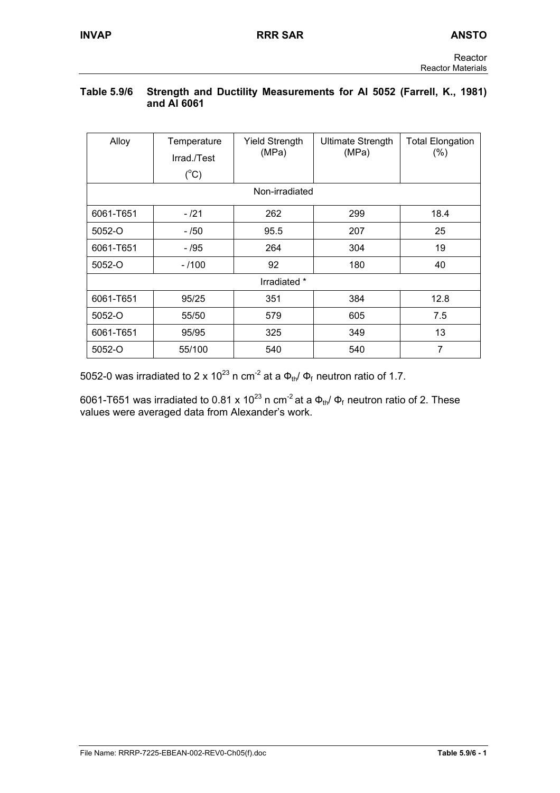## **Table 5.9/6 Strength and Ductility Measurements for Al 5052 (Farrell, K., 1981) and Al 6061**

| Alloy          | Temperature<br>Irrad./Test<br>$(^{\circ}C)$ | <b>Yield Strength</b><br>(MPa) | <b>Ultimate Strength</b><br>(MPa) | <b>Total Elongation</b><br>(%) |  |  |
|----------------|---------------------------------------------|--------------------------------|-----------------------------------|--------------------------------|--|--|
| Non-irradiated |                                             |                                |                                   |                                |  |  |
| 6061-T651      | $-121$                                      | 262                            | 299                               | 18.4                           |  |  |
| 5052-O         | - /50                                       | 95.5                           | 207                               | 25                             |  |  |
| 6061-T651      | - /95                                       | 264                            | 304                               | 19                             |  |  |
| 5052-O         | $-1100$                                     | 92                             | 180                               | 40                             |  |  |
|                |                                             | Irradiated *                   |                                   |                                |  |  |
| 6061-T651      | 95/25                                       | 351                            | 384                               | 12.8                           |  |  |
| 5052-O         | 55/50                                       | 579                            | 605                               | 7.5                            |  |  |
| 6061-T651      | 95/95                                       | 325                            | 349                               | 13                             |  |  |
| 5052-O         | 55/100                                      | 540                            | 540                               | 7                              |  |  |

5052-0 was irradiated to 2 x 10<sup>23</sup> n cm<sup>-2</sup> at a  $\Phi_{th}/\Phi_f$  neutron ratio of 1.7.

6061-T651 was irradiated to 0.81 x 10<sup>23</sup> n cm<sup>-2</sup> at a  $\Phi_{th}/\Phi_f$  neutron ratio of 2. These values were averaged data from Alexander's work.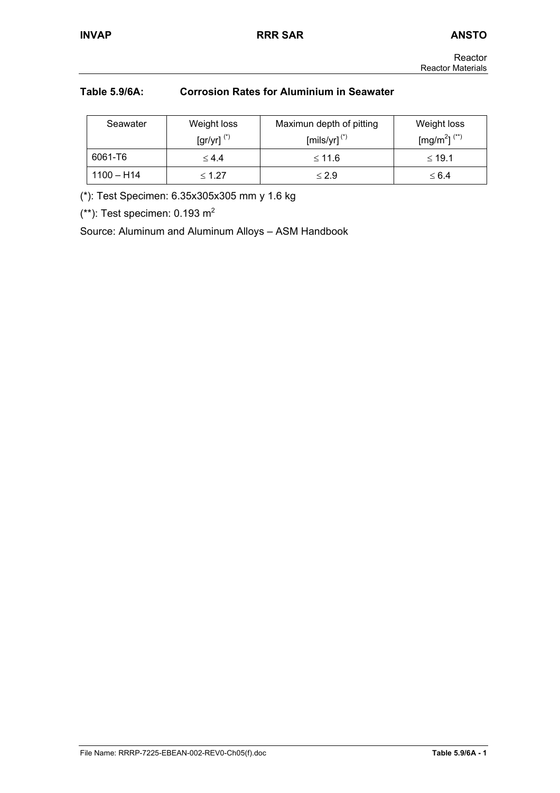# **Table 5.9/6A: Corrosion Rates for Aluminium in Seawater**

| Seawater     | Weight loss                        | Maximun depth of pitting   | Weight loss                          |
|--------------|------------------------------------|----------------------------|--------------------------------------|
|              | $\left[\frac{gr}{yr}\right]^{(*)}$ | $[mils/yr]$ <sup>(*)</sup> | [mg/m <sup>2</sup> ] <sup>(**)</sup> |
| 6061-T6      | $\leq 4.4$                         | ≤ 11.6                     | $\leq 19.1$                          |
| $1100 - H14$ | $\leq 1.27$                        | $\leq 2.9$                 | $\leq 6.4$                           |

(\*): Test Specimen: 6.35x305x305 mm y 1.6 kg

(\*\*): Test specimen:  $0.193$  m<sup>2</sup>

Source: Aluminum and Aluminum Alloys – ASM Handbook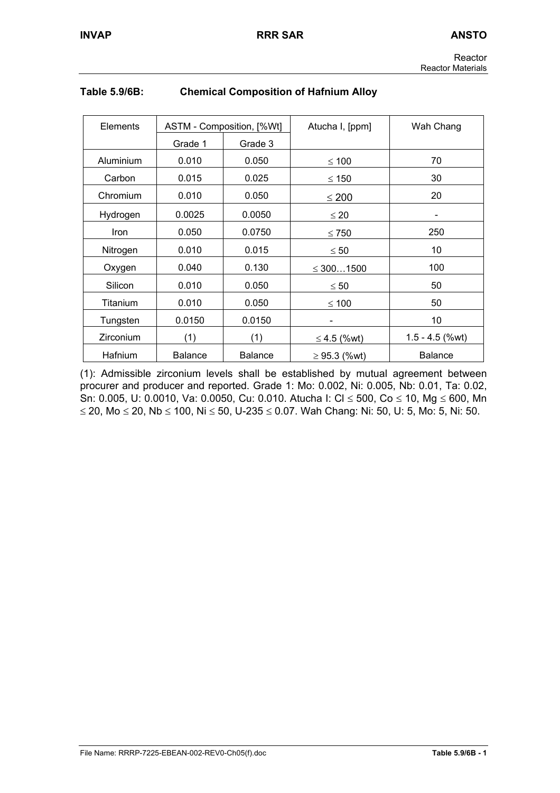| Elements    |                | ASTM - Composition, [%Wt] | Atucha I, [ppm]   | Wah Chang         |
|-------------|----------------|---------------------------|-------------------|-------------------|
|             | Grade 1        | Grade 3                   |                   |                   |
| Aluminium   | 0.010          | 0.050                     | $\leq 100$        | 70                |
| Carbon      | 0.015          | 0.025                     | $\leq 150$        | 30                |
| Chromium    | 0.010          | 0.050                     | $\leq 200$        | 20                |
| Hydrogen    | 0.0025         | 0.0050                    | $\leq 20$         |                   |
| <b>Iron</b> | 0.050          | 0.0750                    | $\leq 750$        | 250               |
| Nitrogen    | 0.010          | 0.015                     | $\leq 50$         | 10                |
| Oxygen      | 0.040          | 0.130                     | $\leq 3001500$    | 100               |
| Silicon     | 0.010          | 0.050                     | $\leq 50$         | 50                |
| Titanium    | 0.010          | 0.050                     | $\leq 100$        | 50                |
| Tungsten    | 0.0150         | 0.0150                    |                   | 10                |
| Zirconium   | (1)            | (1)                       | ≤ 4.5 (%wt)       | $1.5 - 4.5$ (%wt) |
| Hafnium     | <b>Balance</b> | <b>Balance</b>            | $\geq$ 95.3 (%wt) | <b>Balance</b>    |

# **Table 5.9/6B: Chemical Composition of Hafnium Alloy**

(1): Admissible zirconium levels shall be established by mutual agreement between procurer and producer and reported. Grade 1: Mo: 0.002, Ni: 0.005, Nb: 0.01, Ta: 0.02, Sn: 0.005, U: 0.0010, Va: 0.0050, Cu: 0.010. Atucha I: Cl ≤ 500, Co ≤ 10, Mg ≤ 600, Mn ≤ 20, Mo ≤ 20, Nb ≤ 100, Ni ≤ 50, U-235 ≤ 0.07. Wah Chang: Ni: 50, U: 5, Mo: 5, Ni: 50.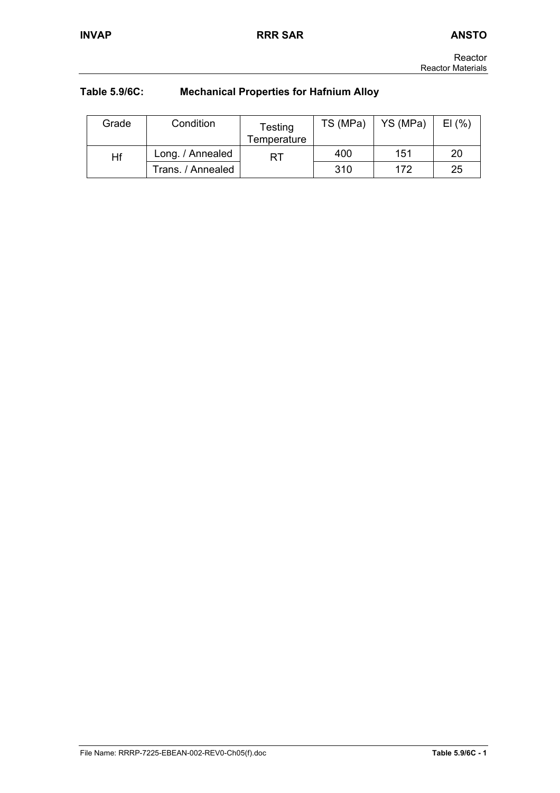# **Table 5.9/6C: Mechanical Properties for Hafnium Alloy**

| Grade | Condition         | Testing<br>Temperature | TS (MPa) | YS (MPa) | EI(%) |
|-------|-------------------|------------------------|----------|----------|-------|
| Hf    | Long. / Annealed  | RT                     | 400      | 151      | 20    |
|       | Trans. / Annealed |                        | 310      | 172      | 25    |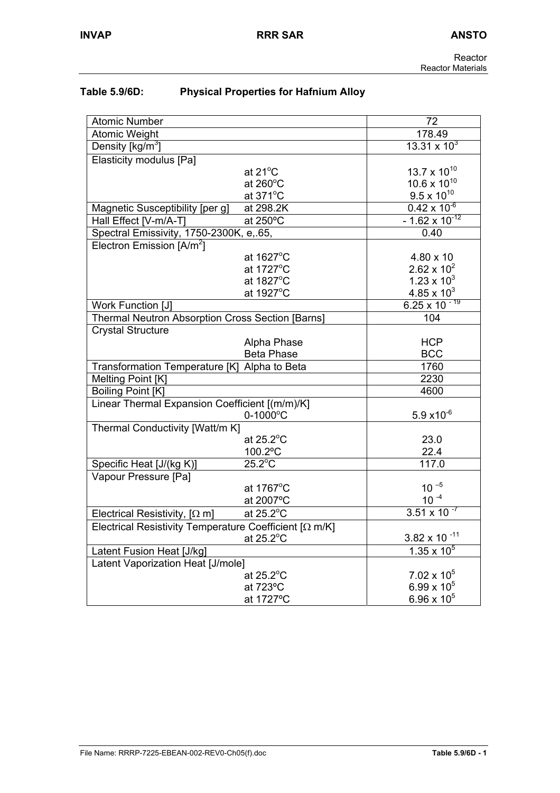| Table 5.9/6D: | <b>Physical Properties for Hafnium Alloy</b> |
|---------------|----------------------------------------------|
|---------------|----------------------------------------------|

| <b>Atomic Number</b>                                     |                          | 72                      |
|----------------------------------------------------------|--------------------------|-------------------------|
| <b>Atomic Weight</b>                                     |                          | 178.49                  |
| Density [ $kg/m3$ ]                                      |                          | $13.31 \times 10^3$     |
| <b>Elasticity modulus [Pa]</b>                           |                          |                         |
|                                                          | at $21^{\circ}$ C        | $13.7 \times 10^{10}$   |
|                                                          | at $260^{\circ}$ C       | $10.6 \times 10^{10}$   |
|                                                          | at $371^{\circ}$ C       | $9.5 \times 10^{10}$    |
| Magnetic Susceptibility [per g]                          | at 298.2K                | $0.42 \times 10^{-6}$   |
| Hall Effect [V-m/A-T]                                    | at 250°C                 | $-1.62 \times 10^{-12}$ |
| Spectral Emissivity, 1750-2300K, e, 65,                  |                          | 0.40                    |
| Electron Emission [A/m <sup>2</sup> ]                    |                          |                         |
|                                                          | at 1627°C                | 4.80 x 10               |
|                                                          | at 1727°C                | $2.62 \times 10^{2}$    |
|                                                          | at 1827°C                | $1.23 \times 10^{3}$    |
|                                                          | at 1927°C                | $4.85 \times 10^{3}$    |
| Work Function [J]                                        |                          | $6.25 \times 10^{-19}$  |
| Thermal Neutron Absorption Cross Section [Barns]         |                          | 104                     |
| <b>Crystal Structure</b>                                 |                          |                         |
|                                                          | Alpha Phase              | <b>HCP</b>              |
|                                                          | <b>Beta Phase</b>        | <b>BCC</b>              |
| Transformation Temperature [K] Alpha to Beta             |                          | 1760                    |
| Melting Point [K]                                        |                          | 2230                    |
| Boiling Point [K]                                        |                          | 4600                    |
| Linear Thermal Expansion Coefficient [(m/m)/K]           |                          |                         |
|                                                          | $0 - 1000$ °C            | $5.9 x10^{-6}$          |
| Thermal Conductivity [Watt/m K]                          |                          |                         |
|                                                          | at $25.2$ <sup>°</sup> C | 23.0                    |
|                                                          | 100.2°C                  | 22.4                    |
| Specific Heat [J/(kg K)]                                 | $25.2^{\circ}$ C         | 117.0                   |
| Vapour Pressure [Pa]                                     |                          |                         |
|                                                          | at 1767°C                | $10^{-5}$               |
|                                                          | at 2007°C                | $10^{-4}$               |
| Electrical Resistivity, $[\Omega \, m]$                  | at 25.2°C                | $3.51 \times 10^{-7}$   |
| Electrical Resistivity Temperature Coefficient $[Ω m/K]$ |                          |                         |
|                                                          | at 25.2°C                | $3.82 \times 10^{-11}$  |
| Latent Fusion Heat [J/kg]                                |                          | $1.35 \times 10^5$      |
| Latent Vaporization Heat [J/mole]                        |                          |                         |
|                                                          | at $25.2^{\circ}$ C      | $7.02 \times 10^5$      |
|                                                          | at 723°C                 | 6.99 x $10^5$           |
|                                                          | at 1727°C                | $6.96 \times 10^{5}$    |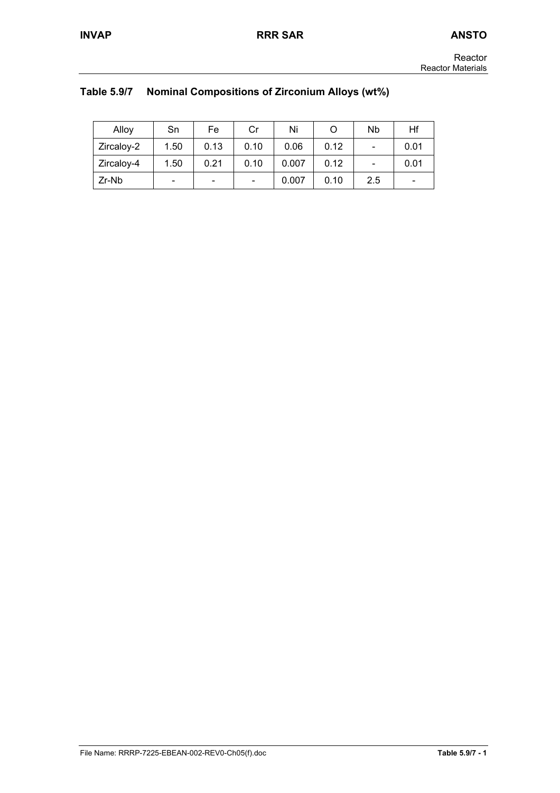| Reactor                  |  |
|--------------------------|--|
| <b>Reactor Materials</b> |  |

|  | Table 5.9/7 Nominal Compositions of Zirconium Alloys (wt%) |
|--|------------------------------------------------------------|
|--|------------------------------------------------------------|

| Alloy             | Sn                       | Fe                       | Cr                       | Ni    |      | Nb                       | Hf                       |
|-------------------|--------------------------|--------------------------|--------------------------|-------|------|--------------------------|--------------------------|
| Zircaloy-2        | 1.50                     | 0.13                     | 0.10                     | 0.06  | 0.12 | $\overline{\phantom{0}}$ | 0.01                     |
| <b>Zircaloy-4</b> | 1.50                     | 0.21                     | 0.10                     | 0.007 | 0.12 | $\qquad \qquad$          | 0.01                     |
| Zr-Nb             | $\overline{\phantom{0}}$ | $\overline{\phantom{a}}$ | $\overline{\phantom{0}}$ | 0.007 | 0.10 | 2.5                      | $\overline{\phantom{0}}$ |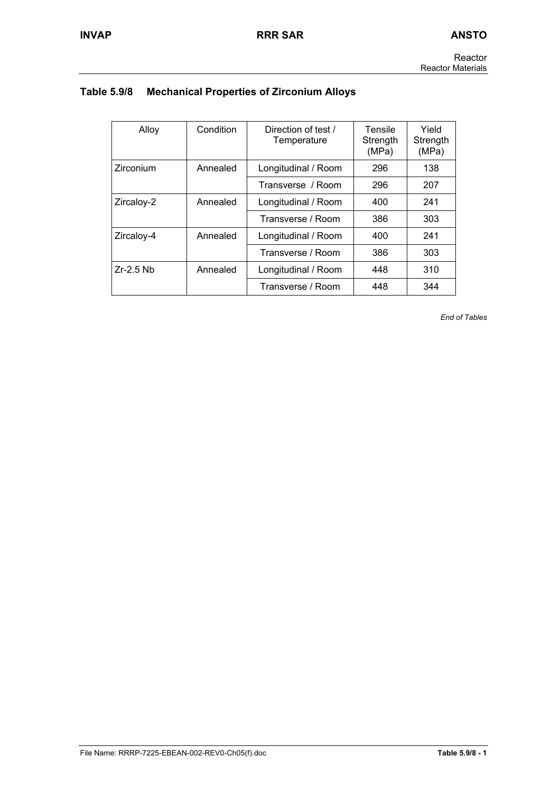# **Table 5.9/8 Mechanical Properties of Zirconium Alloys**

| Alloy       | Condition | Direction of test /<br>Temperature | Tensile<br>Strength<br>(MPa) | Yield<br>Strength<br>(MPa) |
|-------------|-----------|------------------------------------|------------------------------|----------------------------|
| Zirconium   | Annealed  | Longitudinal / Room                | 296                          | 138                        |
|             |           | Transverse / Room                  | 296                          | 207                        |
| Zircaloy-2  | Annealed  | Longitudinal / Room                | 400                          | 241                        |
|             |           | Transverse / Room                  | 386                          | 303                        |
| Zircaloy-4  | Annealed  | Longitudinal / Room                | 400                          | 241                        |
|             |           | Transverse / Room                  | 386                          | 303                        |
| $Zr-2.5$ Nb | Annealed  | Longitudinal / Room                | 448                          | 310                        |
|             |           | Transverse / Room                  | 448                          | 344                        |

*End of Tables*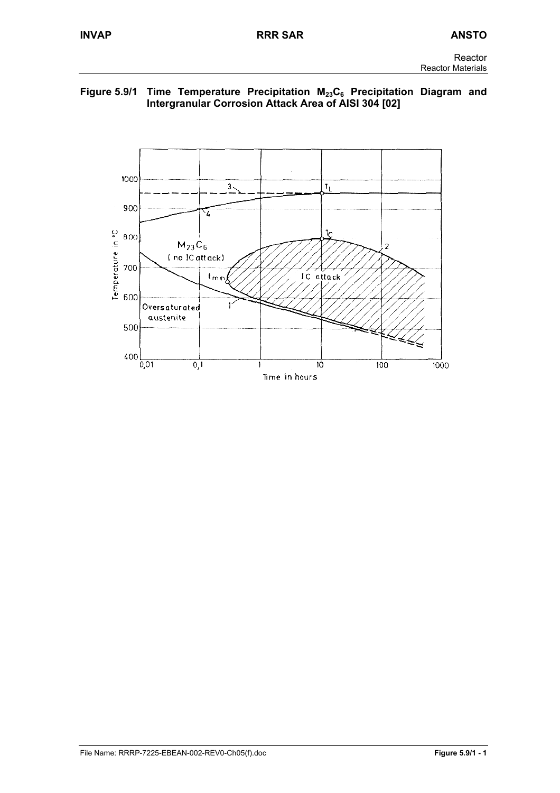# Figure 5.9/1 Time Temperature Precipitation M<sub>23</sub>C<sub>6</sub> Precipitation Diagram and **Intergranular Corrosion Attack Area of AISI 304 [02]**

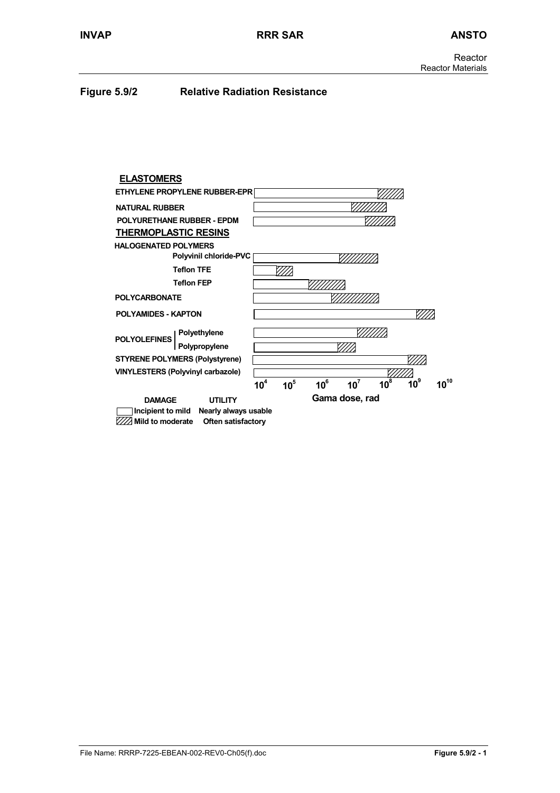## **Figure 5.9/2 Relative Radiation Resistance**

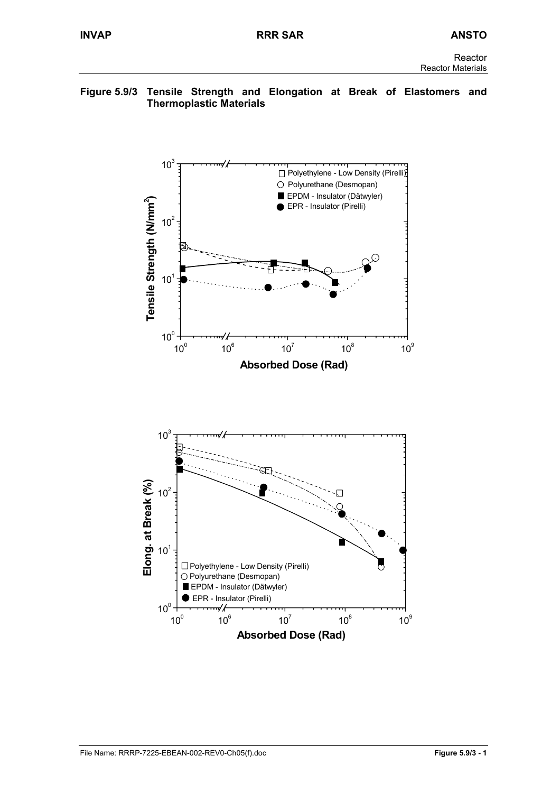## **Figure 5.9/3 Tensile Strength and Elongation at Break of Elastomers and Thermoplastic Materials**

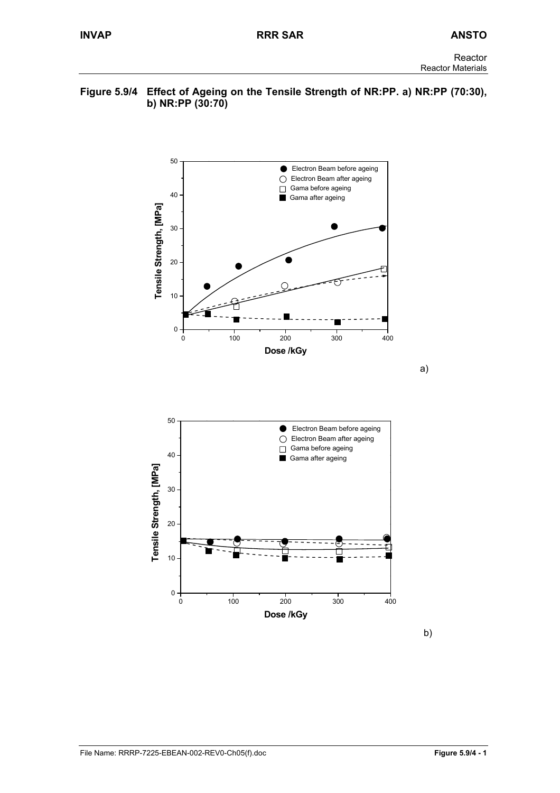#### **Figure 5.9/4 Effect of Ageing on the Tensile Strength of NR:PP. a) NR:PP (70:30), b) NR:PP (30:70)**





b)

a)